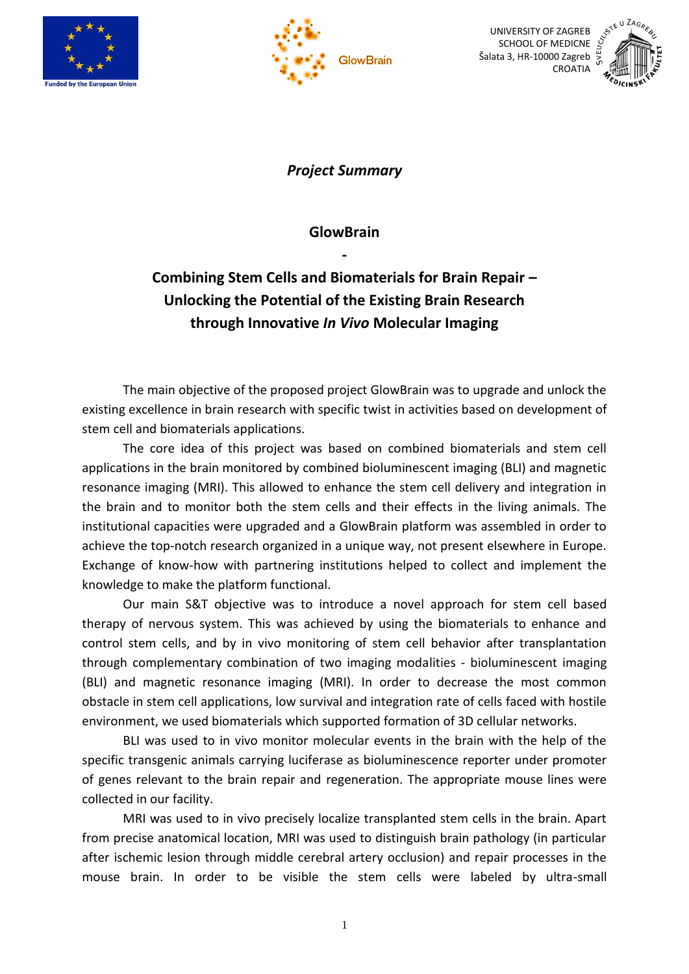



UNIVERSITY OF ZAGREB SCHOOL OF MEDICNE Šalata 3, HR-10000 Zagreb



*Project Summary*

**GlowBrain** 

**-**

## **Combining Stem Cells and Biomaterials for Brain Repair – Unlocking the Potential of the Existing Brain Research through Innovative** *In Vivo* **Molecular Imaging**

The main objective of the proposed project GlowBrain was to upgrade and unlock the existing excellence in brain research with specific twist in activities based on development of stem cell and biomaterials applications.

The core idea of this project was based on combined biomaterials and stem cell applications in the brain monitored by combined bioluminescent imaging (BLI) and magnetic resonance imaging (MRI). This allowed to enhance the stem cell delivery and integration in the brain and to monitor both the stem cells and their effects in the living animals. The institutional capacities were upgraded and a GlowBrain platform was assembled in order to achieve the top-notch research organized in a unique way, not present elsewhere in Europe. Exchange of know-how with partnering institutions helped to collect and implement the knowledge to make the platform functional.

Our main S&T objective was to introduce a novel approach for stem cell based therapy of nervous system. This was achieved by using the biomaterials to enhance and control stem cells, and by in vivo monitoring of stem cell behavior after transplantation through complementary combination of two imaging modalities - bioluminescent imaging (BLI) and magnetic resonance imaging (MRI). In order to decrease the most common obstacle in stem cell applications, low survival and integration rate of cells faced with hostile environment, we used biomaterials which supported formation of 3D cellular networks.

BLI was used to in vivo monitor molecular events in the brain with the help of the specific transgenic animals carrying luciferase as bioluminescence reporter under promoter of genes relevant to the brain repair and regeneration. The appropriate mouse lines were collected in our facility.

MRI was used to in vivo precisely localize transplanted stem cells in the brain. Apart from precise anatomical location, MRI was used to distinguish brain pathology (in particular after ischemic lesion through middle cerebral artery occlusion) and repair processes in the mouse brain. In order to be visible the stem cells were labeled by ultra-small